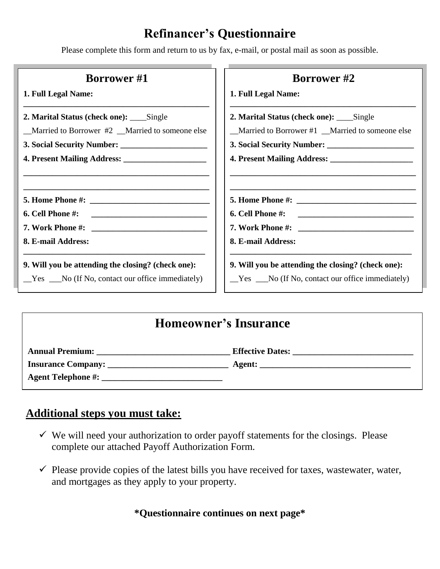# **Refinancer's Questionnaire**

Please complete this form and return to us by fax, e-mail, or postal mail as soon as possible.

| <b>Borrower</b> #1                                 | <b>Borrower</b> #2                                 |
|----------------------------------------------------|----------------------------------------------------|
| 1. Full Legal Name:                                | 1. Full Legal Name:                                |
| 2. Marital Status (check one): _____Single         | 2. Marital Status (check one): _____Single         |
| Married to Borrower #2 _Married to someone else    | _Married to Borrower #1 _Married to someone else   |
|                                                    | 3. Social Security Number:                         |
|                                                    |                                                    |
|                                                    |                                                    |
|                                                    |                                                    |
|                                                    |                                                    |
| 8. E-mail Address:                                 | 8. E-mail Address:                                 |
| 9. Will you be attending the closing? (check one): | 9. Will you be attending the closing? (check one): |
| $Yes$ __No (If No, contact our office immediately) | $Yes$ __No (If No, contact our office immediately) |

## **Homeowner's Insurance**

| <b>Annual Premium:</b>    | <b>Effective Dates:</b> |
|---------------------------|-------------------------|
| <b>Insurance Company:</b> | Agent:                  |
| <b>Agent Telephone #:</b> |                         |

## **Additional steps you must take:**

- $\checkmark$  We will need your authorization to order payoff statements for the closings. Please complete our attached Payoff Authorization Form.
- $\checkmark$  Please provide copies of the latest bills you have received for taxes, wastewater, water, and mortgages as they apply to your property.

**\*Questionnaire continues on next page\***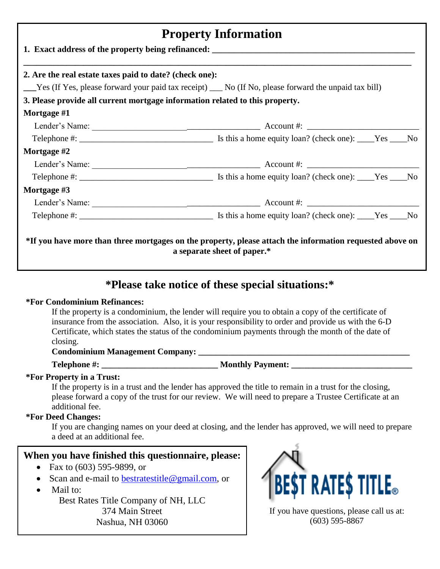| <b>Property Information</b><br>2. Are the real estate taxes paid to date? (check one): |                                                                                                                                                                                                                               |  |  |
|----------------------------------------------------------------------------------------|-------------------------------------------------------------------------------------------------------------------------------------------------------------------------------------------------------------------------------|--|--|
|                                                                                        |                                                                                                                                                                                                                               |  |  |
| 3. Please provide all current mortgage information related to this property.           |                                                                                                                                                                                                                               |  |  |
| Mortgage #1                                                                            |                                                                                                                                                                                                                               |  |  |
|                                                                                        |                                                                                                                                                                                                                               |  |  |
|                                                                                        |                                                                                                                                                                                                                               |  |  |
| Mortgage #2                                                                            |                                                                                                                                                                                                                               |  |  |
|                                                                                        |                                                                                                                                                                                                                               |  |  |
|                                                                                        |                                                                                                                                                                                                                               |  |  |
| Mortgage #3                                                                            |                                                                                                                                                                                                                               |  |  |
|                                                                                        | Lender's Name: 2008 and 2008 and 2008 and 2008 and 2008 and 2008 and 2008 and 2008 and 2008 and 2008 and 2008 and 2008 and 2008 and 2008 and 2008 and 2008 and 2008 and 2008 and 2008 and 2008 and 2008 and 2008 and 2008 and |  |  |
|                                                                                        |                                                                                                                                                                                                                               |  |  |
|                                                                                        | *If you have more than three mortgages on the property, please attach the information requested above on                                                                                                                      |  |  |

## **\*Please take notice of these special situations:\***

#### **\*For Condominium Refinances:**

If the property is a condominium, the lender will require you to obtain a copy of the certificate of insurance from the association. Also, it is your responsibility to order and provide us with the 6-D Certificate, which states the status of the condominium payments through the month of the date of closing.

#### Condominium Management Company: **Letter Accelerate and Accelerate Accelerate Company:**

**Telephone #: \_\_\_\_\_\_\_\_\_\_\_\_\_\_\_\_\_\_\_\_\_\_\_\_\_\_\_ Monthly Payment: \_\_\_\_\_\_\_\_\_\_\_\_\_\_\_\_\_\_\_\_\_\_\_\_\_\_\_\_**

### **\*For Property in a Trust:**

If the property is in a trust and the lender has approved the title to remain in a trust for the closing, please forward a copy of the trust for our review. We will need to prepare a Trustee Certificate at an additional fee.

#### **\*For Deed Changes:**

If you are changing names on your deed at closing, and the lender has approved, we will need to prepare a deed at an additional fee.

### **When you have finished this questionnaire, please:**

- Fax to  $(603)$  595-9899, or
- Scan and e-mail to [bestratestitle@gmail.com,](mailto:bestratestitle@gmail.com) or
- Mail to:

Best Rates Title Company of NH, LLC 374 Main Street Nashua, NH 03060



If you have questions, please call us at: (603) 595-8867